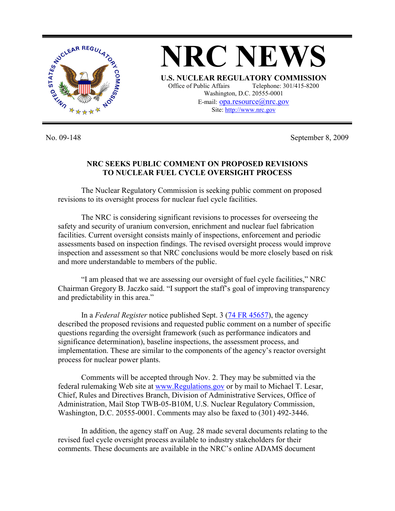

No. 09-148 September 8, 2009

## **NRC SEEKS PUBLIC COMMENT ON PROPOSED REVISIONS TO NUCLEAR FUEL CYCLE OVERSIGHT PROCESS**

 The Nuclear Regulatory Commission is seeking public comment on proposed revisions to its oversight process for nuclear fuel cycle facilities.

 The NRC is considering significant revisions to processes for overseeing the safety and security of uranium conversion, enrichment and nuclear fuel fabrication facilities. Current oversight consists mainly of inspections, enforcement and periodic assessments based on inspection findings. The revised oversight process would improve inspection and assessment so that NRC conclusions would be more closely based on risk and more understandable to members of the public.

 "I am pleased that we are assessing our oversight of fuel cycle facilities," NRC Chairman Gregory B. Jaczko said. "I support the staff's goal of improving transparency and predictability in this area."

 In a *Federal Register* notice published Sept. 3 (74 FR 45657), the agency described the proposed revisions and requested public comment on a number of specific questions regarding the oversight framework (such as performance indicators and significance determination), baseline inspections, the assessment process, and implementation. These are similar to the components of the agency's reactor oversight process for nuclear power plants.

 Comments will be accepted through Nov. 2. They may be submitted via the federal rulemaking Web site at www.Regulations.gov or by mail to Michael T. Lesar, Chief, Rules and Directives Branch, Division of Administrative Services, Office of Administration, Mail Stop TWB-05-B10M, U.S. Nuclear Regulatory Commission, Washington, D.C. 20555-0001. Comments may also be faxed to (301) 492-3446.

 In addition, the agency staff on Aug. 28 made several documents relating to the revised fuel cycle oversight process available to industry stakeholders for their comments. These documents are available in the NRC's online ADAMS document